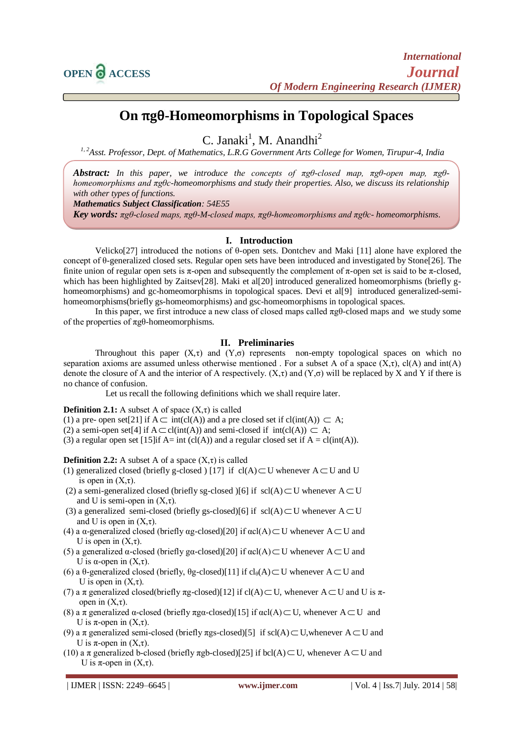

# **On** π**g**θ**-Homeomorphisms in Topological Spaces**

C. Janaki<sup>1</sup>, M. Anandhi<sup>2</sup>

*1, 2Asst. Professor, Dept. of Mathematics, L.R.G Government Arts College for Women, Tirupur-4, India*

*Abstract: In this paper, we introduce the concepts of πgθ-closed map, πgθ-open map, πgθhomeomorphisms and πgθc-homeomorphisms and study their properties. Also, we discuss its relationship with other types of functions.* 

*Mathematics Subject Classification: 54E55*

*Key words: πgθ-closed maps, πgθ-M-closed maps, πgθ-homeomorphisms and πgθc- homeomorphisms*.

## **I. Introduction**

Velicko[27] introduced the notions of θ-open sets. Dontchev and Maki [11] alone have explored the concept of θ-generalized closed sets. Regular open sets have been introduced and investigated by Stone[26]. The finite union of regular open sets is  $\pi$ -open and subsequently the complement of  $\pi$ -open set is said to be  $\pi$ -closed, which has been highlighted by Zaitsev[28]. Maki et al[20] introduced generalized homeomorphisms (briefly ghomeomorphisms) and gc-homeomorphisms in topological spaces. Devi et al[9] introduced generalized-semihomeomorphisms(briefly gs-homeomorphisms) and gsc-homeomorphisms in topological spaces.

In this paper, we first introduce a new class of closed maps called  $\pi g\theta$ -closed maps and we study some of the properties of πgθ-homeomorphisms.

#### **II. Preliminaries**

Throughout this paper  $(X,\tau)$  and  $(Y,\sigma)$  represents non-empty topological spaces on which no separation axioms are assumed unless otherwise mentioned. For a subset A of a space  $(X, \tau)$ ,  $cl(A)$  and  $int(A)$ denote the closure of A and the interior of A respectively.  $(X, \tau)$  and  $(Y, \sigma)$  will be replaced by X and Y if there is no chance of confusion.

Let us recall the following definitions which we shall require later.

#### **Definition 2.1:** A subset A of space  $(X,\tau)$  is called

- (1) a pre- open set[21] if  $A \subset \text{int}(cl(A))$  and a pre closed set if  $cl(int(A)) \subset A$ ;
- (2) a semi-open set[4] if  $A \subset cl(int(A))$  and semi-closed if  $int(cl(A)) \subset A$ ;
- (3) a regular open set [15] if  $A=$  int (cl(A)) and a regular closed set if  $A = cl(int(A))$ .

#### **Definition 2.2:** A subset A of a space  $(X,\tau)$  is called

- (1) generalized closed (briefly g-closed) [17] if  $cl(A) \subset U$  whenever  $A \subset U$  and U is open in  $(X,\tau)$ .
- (2) a semi-generalized closed (briefly sg-closed )[6] if  $\text{ scl}(A) \subset U$  whenever  $A \subset U$ and U is semi-open in  $(X,\tau)$ .
- (3) a generalized semi-closed (briefly gs-closed)[6] if  $\text{ scl}(A) \subset U$  whenever  $A \subset U$ and U is open in  $(X, \tau)$ .
- (4) a  $\alpha$ -generalized closed (briefly  $\alpha$ g-closed)[20] if  $\alpha$ cl(A)  $\subset U$  whenever A $\subset U$  and U is open in  $(X, \tau)$ .
- (5) a generalized  $\alpha$ -closed (briefly g $\alpha$ -closed)[20] if  $\alpha$ cl(A)  $\subset$  U whenever A  $\subset$  U and U is  $\alpha$ -open in  $(X,\tau)$ .
- (6) a θ-generalized closed (briefly, θg-closed)[11] if  $cl_θ(A) \subset U$  whenever  $A \subset U$  and U is open in  $(X,\tau)$ .
- (7) a π generalized closed(briefly πg-closed)[12] if cl(A)  $\subset$  U, whenever A  $\subset$  U and U is πopen in  $(X, \tau)$ .
- (8) a π generalized α-closed (briefly πgα-closed)[15] if  $\alpha$ cl(A)  $\subset$  U, whenever A  $\subset$  U and U is  $\pi$ -open in  $(X,\tau)$ .
- (9) a π generalized semi-closed (briefly πgs-closed)[5] if scl(A)  $\subset$  U, whenever A  $\subset$  U and U is  $\pi$ -open in  $(X,\tau)$ .
- (10) a π generalized b-closed (briefly πgb-closed)[25] if bcl(A)  $\subset$  U, whenever A  $\subset$  U and U is  $\pi$ -open in  $(X,\tau)$ .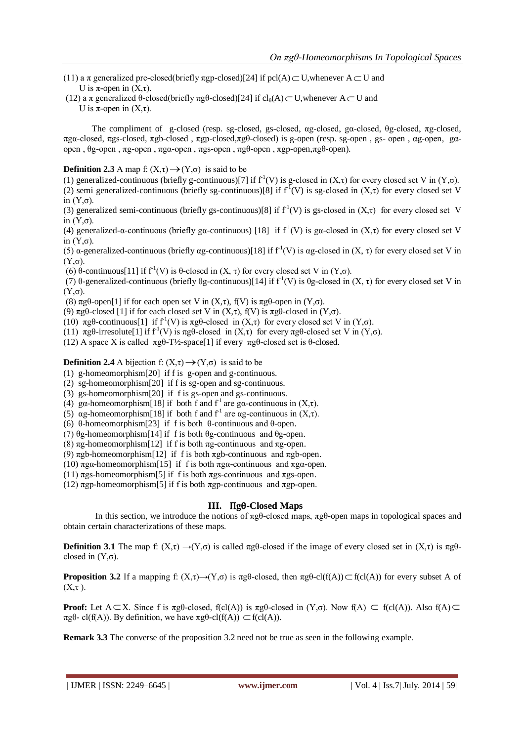- (11) a  $\pi$  generalized pre-closed(briefly  $\pi$ gp-closed)[24] if pcl(A)  $\subset$  U, whenever A  $\subset$  U and U is  $\pi$ -open in  $(X,\tau)$ .
- (12) a π generalized θ-closed(briefly πgθ-closed)[24] if  $cl_0(A) \subset U$ , whenever  $A \subset U$  and
	- U is  $\pi$ -open in  $(X,\tau)$ .

 The compliment of g-closed (resp. sg-closed, gs-closed, αg-closed, gα-closed, θg-closed, πg-closed, πgα-closed, πgs-closed, πgb-closed , πgp-closed,πgθ-closed) is g-open (resp. sg-open , gs- open , αg-open, gαopen , θg-open , πg-open , πgα-open , πgs-open , πgθ-open , πgp-open,πgθ-open).

# **Definition 2.3** A map f:  $(X,\tau) \rightarrow (Y,\sigma)$  is said to be

(1) generalized-continuous (briefly g-continuous)[7] if  $f^1(V)$  is g-closed in  $(X, \tau)$  for every closed set V in  $(Y, \sigma)$ . (2) semi generalized-continuous (briefly sg-continuous)[8] if  $f^I(V)$  is sg-closed in  $(X,\tau)$  for every closed set V in (Y,σ).

(3) generalized semi-continuous (briefly gs-continuous)[8] if  $f<sup>1</sup>(V)$  is gs-closed in  $(X, \tau)$  for every closed set V in  $(Y, σ)$ .

(4) generalized-α-continuous (briefly gα-continuous) [18] if  $f<sup>1</sup>(V)$  is gα-closed in  $(X,\tau)$  for every closed set V in  $(Y, σ)$ .

(5) a-generalized-continuous (briefly ag-continuous)[18] if  $f<sup>1</sup>(V)$  is ag-closed in  $(X, \tau)$  for every closed set V in  $(Y, σ)$ .

(6) θ-continuous[11] if  $f^1(V)$  is θ-closed in  $(X, \tau)$  for every closed set V in  $(Y, \sigma)$ .

(7) θ-generalized-continuous (briefly θg-continuous)[14] if  $f'(V)$  is θg-closed in  $(X, \tau)$  for every closed set V in  $(Y, σ)$ .

(8)  $\pi$ gθ-open[1] if for each open set V in  $(X,\tau)$ ,  $f(V)$  is  $\pi$ gθ-open in  $(Y,\sigma)$ .

- (9)  $\pi$ gθ-closed [1] if for each closed set V in (X,τ), f(V) is  $\pi$ gθ-closed in (Y,σ).
- (10)  $\pi$ gθ-continuous[1] if f<sup>-1</sup>(V) is  $\pi$ gθ-closed in  $(X,\tau)$  for every closed set V in  $(Y,\sigma)$ .
- (11)  $\pi g \theta$ -irresolute[1] if  $f'(V)$  is  $\pi g \theta$ -closed in  $(X, \tau)$  for every  $\pi g \theta$ -closed set V in  $(Y, \sigma)$ .

(12) A space X is called πgθ-T½-space[1] if every πgθ-closed set is θ-closed.

**Definition 2.4** A bijection f:  $(X,\tau) \rightarrow (Y,\sigma)$  is said to be

- (1) g-homeomorphism[20] if f is g-open and g-continuous.
- (2) sg-homeomorphism[20] if f is sg-open and sg-continuous.
- (3) gs-homeomorphism[20] if f is gs-open and gs-continuous.
- (4) gα-homeomorphism[18] if both f and  $f<sup>1</sup>$  are gα-continuous in  $(X, \tau)$ .
- (5) ag-homeomorphism[18] if both f and  $f^1$  are ag-continuous in  $(X, \tau)$ .
- (6) θ-homeomorphism[23] if f is both θ-continuous and θ-open.
- (7) θg-homeomorphism[14] if f is both θg-continuous and θg-open.
- (8)  $\pi$ g-homeomorphism[12] if f is both  $\pi$ g-continuous and  $\pi$ g-open.
- (9)  $\pi$ gb-homeomorphism[12] if f is both  $\pi$ gb-continuous and  $\pi$ gb-open.
- (10)  $\pi$ gα-homeomorphism[15] if f is both  $\pi$ gα-continuous and  $\pi$ gα-open.
- (11)  $\pi$ gs-homeomorphism[5] if f is both  $\pi$ gs-continuous and  $\pi$ gs-open.
- (12)  $\pi$ gp-homeomorphism[5] if f is both  $\pi$ gp-continuous and  $\pi$ gp-open.

#### **III.** Π**g**θ**-Closed Maps**

In this section, we introduce the notions of πgθ-closed maps, πgθ-open maps in topological spaces and obtain certain characterizations of these maps.

**Definition 3.1** The map f:  $(X,\tau) \to (Y,\sigma)$  is called  $\pi \rho g - \sigma g$  if the image of every closed set in  $(X,\tau)$  is  $\pi \rho g - \sigma g$ closed in  $(Y,\sigma)$ .

**Proposition 3.2** If a mapping  $f: (X, \tau) \to (Y, \sigma)$  is  $\pi g \theta$ -closed, then  $\pi g \theta$ -cl( $f(A)$ )  $\subset f(cl(A))$  for every subset A of  $(X,\tau)$ .

**Proof:** Let  $A \subset X$ . Since f is  $\pi g \theta$ -closed, f(cl(A)) is  $\pi g \theta$ -closed in  $(Y, \sigma)$ . Now  $f(A) \subset f(cl(A))$ . Also  $f(A) \subset f$  $\pi$ gθ- cl(f(A)). By definition, we have  $\pi$ gθ-cl(f(A))  $\subset$  f(cl(A)).

**Remark 3.3** The converse of the proposition 3.2 need not be true as seen in the following example.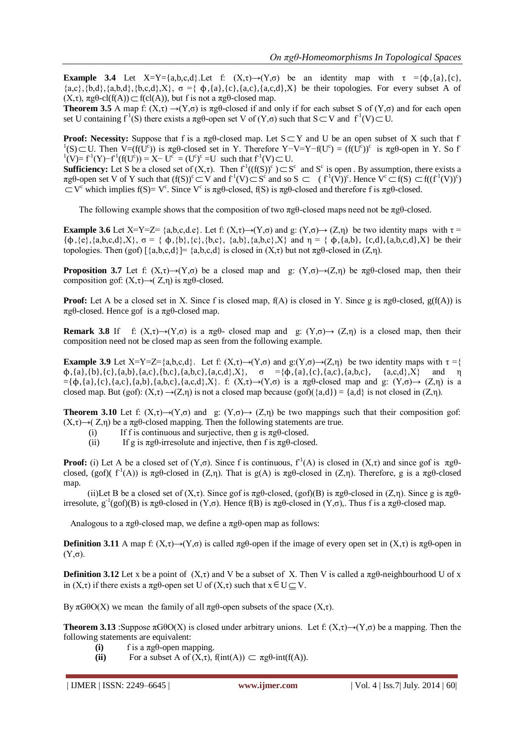**Example 3.4** Let X=Y={a,b,c,d}.Let f:  $(X,\tau) \rightarrow (Y,\sigma)$  be an identity map with  $\tau = {\phi, {a}, {c}, {c}}$  ${a,c}, {b,d}, {a,b,d}, {b,c,d}, X$ ,  $\sigma = \{ \phi, {a}, {c}, {a,c}, {a,c,d}, X \}$  be their topologies. For every subset A of  $(X, \tau)$ ,  $\pi g \theta$ -cl(f(A))  $\subset$  f(cl(A)), but f is not a  $\pi g \theta$ -closed map.

**Theorem 3.5** A map f:  $(X,\tau) \rightarrow (Y,\sigma)$  is  $\pi g\theta$ -closed if and only if for each subset S of  $(Y,\sigma)$  and for each open set U containing  $f^1(S)$  there exists a  $\pi g\theta$ -open set V of  $(Y,\sigma)$  such that  $S \subset V$  and  $f^1(V) \subset U$ .

**Proof: Necessity:** Suppose that f is a  $\pi$ g $\theta$ -closed map. Let  $S \subset Y$  and U be an open subset of X such that f <sup>1</sup>(S) ⊂U. Then V=(f(U<sup>c</sup>)) is πgθ-closed set in Y. Therefore Y-V=Y-f(U<sup>c</sup>) = (f(U<sup>c</sup>))<sup>c</sup> is πgθ-open in Y. So f <sup>1</sup>(V)= f<sup>1</sup>(Y)−f<sup>1</sup>(f(U<sup>c</sup>)) = X− U<sup>c</sup> = (U<sup>c</sup>)<sup>c</sup> =U such that f<sup>1</sup>(V) ⊂ U.

**Sufficiency:** Let S be a closed set of  $(X,\tau)$ . Then  $f^1((f(S))^c) \subset S^c$  and  $S^c$  is open. By assumption, there exists a  $\pi g\theta$ -open set V of Y such that  $(f(S))^c \subset V$  and  $f^1(V) \subset S^c$  and so  $S \subset (f^1(V))^c$ . Hence  $V^c \subset f(S) \subset f((f^1(V))^c)$  $\subset V^c$  which implies f(S)= V<sup>c</sup>. Since V<sup>c</sup> is πgθ-closed, f(S) is πgθ-closed and therefore f is πgθ-closed.

The following example shows that the composition of two  $\pi \mathfrak{g}^2$ -closed maps need not be  $\pi \mathfrak{g}^2$ -closed.

**Example 3.6** Let X=Y=Z= {a,b,c,d,e}. Let f:  $(X,\tau) \rightarrow (Y,\sigma)$  and g:  $(Y,\sigma) \rightarrow (Z,\eta)$  be two identity maps with  $\tau$  ${\phi, \{e\}, \{a,b,c,d\}, X}$ ,  $\sigma = {\phi, \{b\}, \{c\}, \{b,c\}, \{a,b\}, \{a,b,c\}, X}$  and  $\eta = {\phi, \{a,b\}, \{c,d\}, \{a,b,c,d\}, X}$  be their topologies. Then (gof)  $\{a,b,c,d\}$  =  $\{a,b,c,d\}$  is closed in  $(X,τ)$  but not πgθ-closed in  $(Z,η)$ .

**Proposition 3.7** Let f:  $(X,\tau) \rightarrow (Y,\sigma)$  be a closed map and g:  $(Y,\sigma) \rightarrow (Z,\eta)$  be  $\pi g \theta$ -closed map, then their composition gof:  $(X,\tau) \rightarrow (Z,\eta)$  is  $\pi g\theta$ -closed.

**Proof:** Let A be a closed set in X. Since f is closed map,  $f(A)$  is closed in Y. Since g is  $\pi g \theta$ -closed,  $g(f(A))$  is πgθ-closed. Hence gof is a πgθ-closed map.

**Remark 3.8** If f:  $(X,\tau) \rightarrow (Y,\sigma)$  is a  $\pi g\theta$ - closed map and g:  $(Y,\sigma) \rightarrow (Z,\eta)$  is a closed map, then their composition need not be closed map as seen from the following example.

**Example 3.9** Let X=Y=Z={a,b,c,d}. Let f:  $(X,\tau) \rightarrow (Y,\sigma)$  and  $g:(Y,\sigma) \rightarrow (Z,\eta)$  be two identity maps with  $\tau = \{$  $\phi$ ,{a},{b},{c},{a,b},{a,c},{b,c},{a,b,c},{a,b,c},{a,c,d},X},  $\sigma = {\phi$ ,{a},{c},{a,c},{a,b,c}, {a,c,d},X} and  $\eta$  $=[\phi,(a),(c),(a,c),(a,b),(a,b,c),(a,c,d),X]$ . f:  $(X,\tau) \rightarrow (Y,\sigma)$  is a  $\pi g\theta$ -closed map and g:  $(Y,\sigma) \rightarrow (Z,\eta)$  is a closed map. But (gof):  $(X,\tau) \rightarrow (Z,\eta)$  is not a closed map because (gof)({a,d}) = {a,d} is not closed in  $(Z,\eta)$ .

**Theorem 3.10** Let f:  $(X,\tau) \to (Y,\sigma)$  and g:  $(Y,\sigma) \to (Z,\eta)$  be two mappings such that their composition gof:  $(X,\tau) \rightarrow (Z,\eta)$  be a  $\pi \varrho$ -closed mapping. Then the following statements are true.

- (i) If f is continuous and surjective, then g is  $\pi g \theta$ -closed.
- (ii) If g is  $\pi \varrho$ -irresolute and injective, then f is  $\pi \varrho$ -closed.

**Proof:** (i) Let A be a closed set of  $(Y, \sigma)$ . Since f is continuous,  $f'(A)$  is closed in  $(X, \tau)$  and since gof is  $\pi g \theta$ closed, (gof)(  $f^1(A)$ ) is  $\pi g\theta$ -closed in (Z,η). That is  $g(A)$  is  $\pi g\theta$ -closed in (Z,η). Therefore, g is a  $\pi g\theta$ -closed map.

(ii)Let B be a closed set of  $(X, \tau)$ . Since gof is  $\pi g\theta$ -closed,  $(g \circ f)(B)$  is  $\pi g\theta$ -closed in  $(Z, \eta)$ . Since g is  $\pi g\theta$ irresolute,  $g^{-1}(gof)(B)$  is  $\pi g\theta$ -closed in  $(Y,\sigma)$ . Hence  $f(B)$  is  $\pi g\theta$ -closed in  $(Y,\sigma)$ . Thus f is a  $\pi g\theta$ -closed map.

Analogous to a  $\pi g\theta$ -closed map, we define a  $\pi g\theta$ -open map as follows:

**Definition 3.11** A map f:  $(X,\tau) \to (Y,\sigma)$  is called  $\pi g\theta$ -open if the image of every open set in  $(X,\tau)$  is  $\pi g\theta$ -open in (Y,σ).

**Definition 3.12** Let x be a point of  $(X, \tau)$  and V be a subset of X. Then V is called a  $\pi g\theta$ -neighbourhood U of x in  $(X,\tau)$  if there exists a  $\pi g\theta$ -open set U of  $(X,\tau)$  such that  $x \in U \subseteq V$ .

By  $\pi G$ θO(X) we mean the family of all  $\pi g$ θ-open subsets of the space (X,τ).

**Theorem 3.13** :Suppose  $\pi G \theta O(X)$  is closed under arbitrary unions. Let f:  $(X,\tau) \rightarrow (Y,\sigma)$  be a mapping. Then the following statements are equivalent:

- **(i)** f is a  $\pi \text{g}\theta$ -open mapping.
- (ii) For a subset A of  $(X, \tau)$ ,  $f(int(A)) \subset \pi g \theta$ -int(f(A)).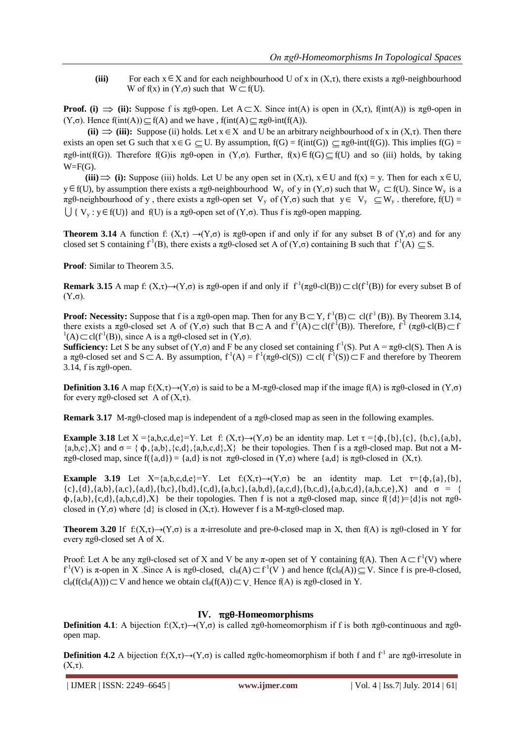(iii) For each  $x \in X$  and for each neighbourhood U of x in  $(X, \tau)$ , there exists a  $\pi g \theta$ -neighbourhood W of  $f(x)$  in  $(Y, \sigma)$  such that  $W \subset f(U)$ .

**Proof.** (i)  $\Rightarrow$  (ii): Suppose f is  $\pi$ g $\theta$ -open. Let  $A \subset X$ . Since  $\text{int}(A)$  is open in  $(X,\tau)$ ,  $f(\text{int}(A))$  is  $\pi$ g $\theta$ -open in (Y,σ). Hence  $f(int(A)) \subseteq f(A)$  and we have,  $f(int(A) \subseteq \pi g \theta \text{-} int(f(A)).$ 

(ii)  $\Rightarrow$  (iii): Suppose (ii) holds. Let  $x \in X$  and U be an arbitrary neighbourhood of x in  $(X, \tau)$ . Then there exists an open set G such that  $x \in G \subseteq U$ . By assumption,  $f(G) = f(int(G)) \subseteq \pi g \theta$ -int( $f(G)$ ). This implies  $f(G) = f$  $\pi g \theta$ -int(f(G)). Therefore f(G)is  $\pi g \theta$ -open in  $(Y, \sigma)$ . Further,  $f(x) \in f(G) \subseteq f(U)$  and so (iii) holds, by taking  $W = F(G)$ .

(iii)  $\Rightarrow$  (i): Suppose (iii) holds. Let U be any open set in  $(X,\tau)$ ,  $x \in U$  and  $f(x) = y$ . Then for each  $x \in U$ ,  $y \in f(U)$ , by assumption there exists a  $\pi g\theta$ -neighbourhood W<sub>y</sub> of y in  $(Y,\sigma)$  such that W<sub>y</sub>  $\subset f(U)$ . Since W<sub>y</sub> is a  $\pi$ gθ-neighbourhood of y, there exists a  $\pi$ gθ-open set V<sub>y</sub> of (Y,σ) such that  $y \in V_y \subseteq W_y$ . therefore, f(U) =  $\bigcup \{ V_y : y \in f(U) \}$  and  $f(U)$  is a  $\pi g \theta$ -open set of  $(Y, \sigma)$ . Thus f is  $\pi g \theta$ -open mapping.

**Theorem 3.14** A function f:  $(X,\tau) \to (Y,\sigma)$  is  $\pi g\theta$ -open if and only if for any subset B of  $(Y,\sigma)$  and for any closed set S containing  $f^1(B)$ , there exists a  $\pi g\theta$ -closed set A of  $(Y,\sigma)$  containing B such that  $f^1(A) \subseteq S$ .

**Proof:** Similar to Theorem 3.5.

**Remark 3.15** A map f:  $(X,\tau) \to (Y,\sigma)$  is  $\pi g\theta$ -open if and only if  $f^1(\pi g\theta$ -cl(B))  $\subset$  cl(f<sup>-1</sup>(B)) for every subset B of (Y,σ).

**Proof:** Necessity: Suppose that f is a  $\pi$ g $\theta$ -open map. Then for any  $B \subset Y$ ,  $f^1(B) \subset cl(f^1(B))$ . By Theorem 3.14, there exists a  $\pi g\theta$ -closed set A of  $(Y,\sigma)$  such that  $B \subset A$  and  $f^1(A) \subset cl(f^1(B))$ . Therefore,  $f^1(\pi g\theta$ -cl $(B) \subset f$  $\Gamma^1(A) \subset \text{cl}(f^1(B))$ , since A is a  $\pi \text{g}\theta$ -closed set in  $(Y,\sigma)$ .

**Sufficiency:** Let S be any subset of  $(Y, \sigma)$  and F be any closed set containing  $f^{-1}(S)$ . Put  $A = \pi g \theta$ -cl(S). Then A is a  $\pi g\theta$ -closed set and  $S \subset A$ . By assumption,  $f^1(A) = f^1(\pi g\theta$ -cl(S))  $\subset$ cl( $f^1(S)$ ) $\subset F$  and therefore by Theorem 3.14, f is πgθ-open.

**Definition 3.16** A map f:( $X, \tau$ )→( $Y, \sigma$ ) is said to be a M- $\pi$ gθ-closed map if the image f(A) is  $\pi$ gθ-closed in ( $Y, \sigma$ ) for every πgθ-closed set A of (X,τ).

**Remark 3.17** M-πgθ-closed map is independent of a πgθ-closed map as seen in the following examples.

**Example 3.18** Let  $X = \{a,b,c,d,e\} = Y$ . Let f:  $(X,\tau) \rightarrow (Y,\sigma)$  be an identity map. Let  $\tau = \{\phi, \{b\}, \{c\}, \{b,c\}, \{a,b\},\}$  $\{a,b,c\},X\}$  and  $\sigma = \{ \phi,\{a,b\},\{c,d\},\{a,b,c,d\},X\}$  be their topologies. Then f is a  $\pi g\theta$ -closed map. But not a Mπgθ-closed map, since f({a,d}) = {a,d} is not πgθ-closed in (Y,σ) where {a,d} is πgθ-closed in (X,τ).

**Example 3.19** Let  $X=\{a,b,c,d,e\}=Y$ . Let  $f:(X,\tau)\rightarrow(Y,\sigma)$  be an identity map. Let  $\tau=\{b,\{a\},\{b\},\{b\},\{c,d,e\}=\{b,d,e\}$  ${c}, {d}, {a,b}, {a,c}, {a,d}, {b,c}, {b,d}, {c,d}, {a,b,c}, {a,b,d}, {a,c,d}, {a,b,c,d}, {a,b,c,e}, X\}$  and  $\sigma = {}$  $\phi$ , {a,b}, {c,d}, {a,b,c,d},X} be their topologies. Then f is not a  $\pi g\theta$ -closed map, since f({d})={d}is not  $\pi g\theta$ closed in  $(Y, \sigma)$  where  $\{d\}$  is closed in  $(X, \tau)$ . However f is a M- $\pi g \theta$ -closed map.

**Theorem 3.20** If  $f: (X,\tau) \to (Y,\sigma)$  is a  $\pi$ -irresolute and pre-θ-closed map in X, then  $f(A)$  is  $\pi g\theta$ -closed in Y for every πgθ-closed set A of X.

Proof: Let A be any  $\pi$ g $\theta$ -closed set of X and V be any  $\pi$ -open set of Y containing f(A). Then  $A \subset f^1(V)$  where  $f^1(V)$  is π-open in X. Since A is πgθ-closed,  $cl_\theta(A) \subset f^1(V)$  and hence  $f(cl_\theta(A)) \subseteq V$ . Since f is pre-θ-closed,  $cl_{\theta}(f(cl_{\theta}(A))) \subset V$  and hence we obtain  $cl_{\theta}(f(A)) \subset V$ . Hence  $f(A)$  is  $\pi g\theta$ -closed in Y.

#### **IV.** π**g**θ**-Homeomorphisms**

**Definition 4.1**: A bijection  $f: (X, \tau) \rightarrow (Y, \sigma)$  is called  $\pi g \theta$ -homeomorphism if f is both  $\pi g \theta$ -continuous and  $\pi g \theta$ open map.

**Definition 4.2** A bijection  $f: (X, \tau) \to (Y, \sigma)$  is called  $\pi g \theta$ c-homeomorphism if both f and  $f^{-1}$  are  $\pi g \theta$ -irresolute in  $(X,\tau)$ .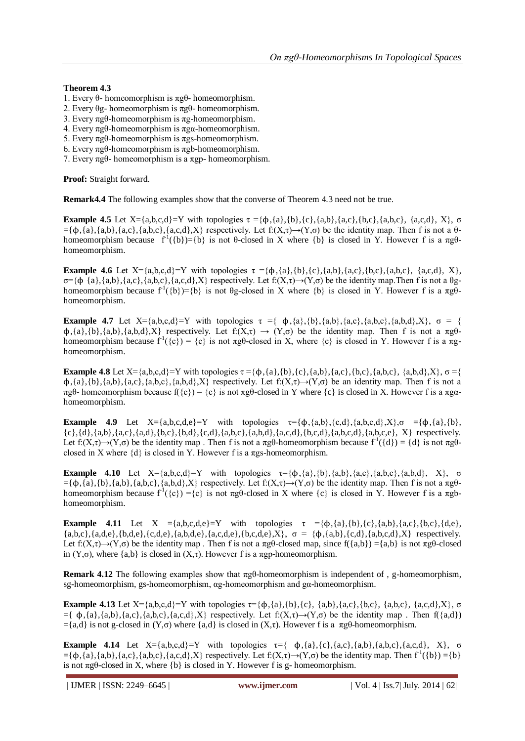### **Theorem 4.3**

- 1. Every θ- homeomorphism is πgθ- homeomorphism.
- 2. Every θg- homeomorphism is πgθ- homeomorphism.
- 3. Every πgθ-homeomorphism is πg-homeomorphism.
- 4. Every πgθ-homeomorphism is πgα-homeomorphism.
- 5. Every πgθ-homeomorphism is πgs-homeomorphism.
- 6. Every πgθ-homeomorphism is πgb-homeomorphism.
- 7. Every πgθ- homeomorphism is a πgp- homeomorphism.

**Proof:** Straight forward.

**Remark4.4** The following examples show that the converse of Theorem 4.3 need not be true.

**Example 4.5** Let X={a,b,c,d}=Y with topologies  $\tau = {\phi, {a}, {b}, {c}, {a,b}, {a,c}, {b,c}, {a,b,c}, {a,c,d}, X}$ , σ  $=\{\phi,\{a\},\{a,b\},\{a,c\},\{a,c,d\},X\}$  respectively. Let  $f(X,\tau)\rightarrow(Y,\sigma)$  be the identity map. Then f is not a  $\theta$ homeomorphism because  $f^1(\{b\}) = \{b\}$  is not  $\theta$ -closed in X where  $\{b\}$  is closed in Y. However f is a  $\pi g \theta$ homeomorphism.

**Example 4.6** Let  $X = \{a,b,c,d\} = Y$  with topologies  $\tau = \{\phi, \{a\}, \{b\}, \{c\}, \{a,b\}, \{a,c\}, \{b,c\}, \{a,b,c\}, \{a,c,d\}, X\}$ ,  $\sigma = {\phi \{a\}, \{a,b\}, \{a,c\}, \{a,b,c\}, \{a,c,d\}, X}$  respectively. Let  $f: (X, \tau) \rightarrow (Y, \sigma)$  be the identity map. Then f is not a θghomeomorphism because  $f^1(\{b\}) = \{b\}$  is not  $\theta g$ -closed in X where  $\{b\}$  is closed in Y. However f is a  $\pi g \bar{\theta}$ homeomorphism.

**Example 4.7** Let  $X = \{a,b,c,d\} = Y$  with topologies  $\tau = \{\phi, \{a\}, \{b\}, \{a,b\}, \{a,c\}, \{a,b,c\}, \{a,b,d\}, X\}$ ,  $\sigma = \{\phi, \{a,b,c\}, \{a,b,c\}, \{a,b,c\}, \{a,b,c\}, \{a,b,c\}, \{a,b,c\}, \{a,b,c\}, \{a,b,c\}, \{a,b,c\}, \{a,b,c\}, \{a,b,c\}, \{a,b,c\}, \{a,b,c\}, \{a,b,c\}, \{a,b,c\}, \{a,b,c\}, \{$  $\phi$ , {a}, {b}, {a,b}, {a,b,d}, X} respectively. Let  $f: (X,\tau) \to (Y,\sigma)$  be the identity map. Then f is not a  $\pi g\theta$ homeomorphism because  $f'(\{c\}) = \{c\}$  is not  $\pi g \theta$ -closed in X, where  $\{c\}$  is closed in Y. However f is a  $\pi g$ homeomorphism.

**Example 4.8** Let X={a,b,c,d}=Y with topologies  $\tau = {\phi, {a}, {b}, {c}, {a,b}, {a,c}, {b,c}, {a,b,c}, {a,b,d}, X}$ ,  $\sigma =$ {  $\phi$ ,{a},{b},{a,b},{a,c},{a,b,c},{a,b,d},X} respectively. Let  $f:(X,\tau) \rightarrow (Y,\sigma)$  be an identity map. Then f is not a πgθ- homeomorphism because  $f({c}) = {c}$  is not πgθ-closed in Y where  ${c}$  is closed in X. However f is a πgαhomeomorphism.

**Example 4.9** Let  $X = \{a, b, c, d, e\} = Y$  with topologies  $\tau = \{\phi, \{a, b\}, \{c, d\}, \{a, b, c, d\}, X\}$ ,  $\sigma = \{\phi, \{a\}, \{b\}, \phi\}$  ${c}, {d}, {a,b}, {a,c}, {a,d}, {b,c}, {b,d}, {c,d}, {a,b,c}, {a,b,d}, {a,c,d}, {a,b,c,d}, {a,b,c,e}, X}$  respectively. Let  $f: (X,\tau) \to (Y,\sigma)$  be the identity map. Then f is not a  $\pi g\theta$ -homeomorphism because  $f'(\{d\}) = \{d\}$  is not  $\pi g\theta$ closed in X where  $\{d\}$  is closed in Y. However f is a  $\pi$ gs-homeomorphism.

**Example 4.10** Let  $X = \{a,b,c,d\} = Y$  with topologies  $\tau = \{\phi,\{a\},\{b\},\{a,b\},\{a,c\},\{a,b,c\},\{a,b,d\}, X\}$ , σ  $=\{\phi,\{a\},\{b\},\{a,b\},\{a,b,c\},\{a,b,d\},X\}$  respectively. Let  $f:(X,\tau)\rightarrow(Y,\sigma)$  be the identity map. Then f is not a  $\pi g\theta$ homeomorphism because  $f^1(\{c\}) = \{c\}$  is not  $\pi g \theta$ -closed in X where  $\{c\}$  is closed in Y. However f is a  $\pi g b$ homeomorphism.

**Example 4.11** Let  $X = \{a,b,c,d,e\} = Y$  with topologies  $\tau = \{\phi, \{a\}, \{b\}, \{c\}, \{a,b\}, \{a,c\}, \{b,c\}, \{d,e\},\$  ${a,b,c},{a,d,e},{b,d,e},{c,d,e},{a,b,d,e}, {a,c,d,e}, {b,c,d,e}, X$ ,  $\sigma = {\phi, {a,b}, {c,d}, {a,b,c,d}, X}$  respectively. Let  $f:(X,\tau) \to (Y,\sigma)$  be the identity map . Then f is not a  $\pi g\theta$ -closed map, since  $f(\{a,b\}) = \{a,b\}$  is not  $\pi g\theta$ -closed in (Y,σ), where {a,b} is closed in (X,τ). However f is a πgp-homeomorphism.

**Remark 4.12** The following examples show that πgθ-homeomorphism is independent of , g-homeomorphism, sg-homeomorphism, gs-homeomorphism, αg-homeomorphism and gα-homeomorphism.

**Example 4.13** Let  $X = \{a,b,c,d\} = Y$  with topologies  $\tau = \{\phi, \{a\}, \{b\}, \{c\}, \{a,b\}, \{a,c\}, \{b,c\}, \{a,b,c\}, \{a,c,d\}, X\}$ , σ  $=\{ \phi, \{a\}, \{a,b\}, \{a,c\}, \{a,b,c\}, \{a,c,d\}, X \}$  respectively. Let  $f:(X,\tau) \rightarrow (Y,\sigma)$  be the identity map. Then  $f(\{a,d\})$  $=\{a,d\}$  is not g-closed in (Y,σ) where  $\{a,d\}$  is closed in (X,τ). However f is a πgθ-homeomorphism.

**Example 4.14** Let  $X = \{a,b,c,d\} = Y$  with topologies  $\tau = \{\phi, \{a\}, \{c\}, \{a,c\}, \{a,b,c\}, \{a,c,d\}, X\}$ , σ  $=\{\phi, \{a\}, \{a,b\}, \{a,c\}, \{a,b,c\}, \{a,c,d\}, X\}$  respectively. Let  $f: (X, \tau) \rightarrow (Y, \sigma)$  be the identity map. Then  $f^1(\{b\}) = \{b\}$ is not  $\pi g \theta$ -closed in X, where {b} is closed in Y. However f is g- homeomorphism.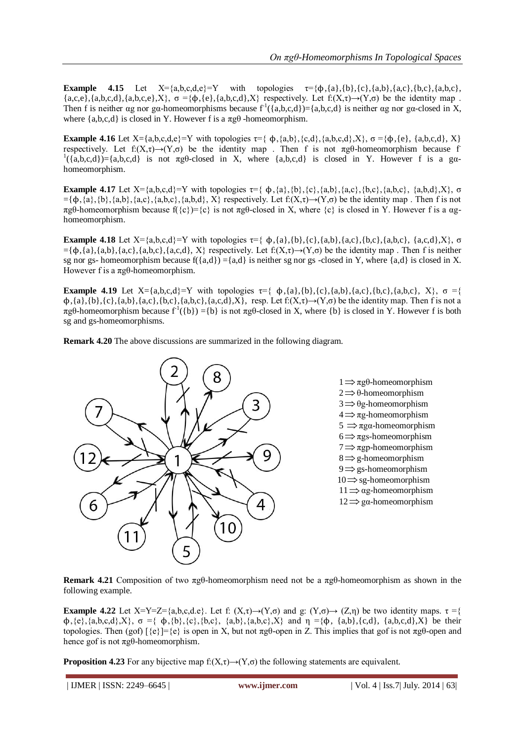**Example 4.15** Let  $X=\{a,b,c,d,e\}=Y$  with topologies  $\tau=\{\phi,\{a\},\{b\},\{c\},\{a,b\},\{a,c\},\{b,c\},\{a,b,c\},\{a,b,c\},\{a,b,c\}$  ${a,c,e}, {a,b,c,d}, {a,b,c,e}, X$ ,  $\sigma = {\phi, {e}, {a,b,c,d}, X}$  respectively. Let  $f: (X,\tau) \rightarrow (Y,\sigma)$  be the identity map. Then f is neither ag nor ga-homeomorphisms because  $f^1(\{a,b,c,d\}) = \{a,b,c,d\}$  is neither ag nor ga-closed in X, where  $\{a,b,c,d\}$  is closed in Y. However f is a  $\pi \alpha \theta$  -homeomorphism.

**Example 4.16** Let  $X = \{a,b,c,d,e\} = Y$  with topologies  $\tau = \{\phi, \{a,b\}, \{c,d\}, \{a,b,c,d\}, X\}$ ,  $\sigma = \{\phi, \{e\}, \{a,b,c,d\}, X\}$ respectively. Let  $f: (X,\tau) \to (Y,\sigma)$  be the identity map . Then f is not  $\pi g\theta$ -homeomorphism because f- $( {a,b,c,d } ) = {a,b,c,d }$  is not  $\pi g\theta$ -closed in X, where  ${a,b,c,d }$  is closed in Y. However f is a gahomeomorphism.

**Example 4.17** Let  $X = \{a,b,c,d\} = Y$  with topologies  $\tau = \{\phi, \{a\}, \{b\}, \{c\}, \{a,b\}, \{a,c\}, \{b,c\}, \{a,b,c\}, \{a,b,d\}, X\}$ , σ  $=\{\phi,\{a\},\{b\},\{a,b\},\{a,c\},\{a,b,c\},\{a,b,d\}, X\}$  respectively. Let  $f:(X,\tau)\to(Y,\sigma)$  be the identity map. Then f is not πgθ-homeomorphism because  $f(\{c\})=c\}$  is not πgθ-closed in X, where  $\{c\}$  is closed in Y. However f is a αghomeomorphism.

**Example 4.18** Let  $X = \{a,b,c,d\} = Y$  with topologies  $\tau = \{\phi,\{a\},\{b\},\{c\},\{a,b\},\{a,c\},\{a,b,c\},\{a,c,d\},X\}$ , σ  $=\{\phi, \{a\}, \{a,b\}, \{a,c\}, \{a,b,c\}, \{a,c,d\}, X\}$  respectively. Let  $f:(X,\tau) \rightarrow (Y,\sigma)$  be the identity map. Then f is neither sg nor gs- homeomorphism because  $f({a,d}) = {a,d}$  is neither sg nor gs -closed in Y, where  ${a,d}$  is closed in X. However f is a  $πgθ$ -homeomorphism.

**Example 4.19** Let  $X = \{a,b,c,d\} = Y$  with topologies  $\tau = \{\phi, \{a\}, \{b\}, \{c\}, \{a,b\}, \{a,c\}, \{b,c\}, \{a,b,c\}, X\}, \sigma = \{\phi, \{a\}, \{b\}, \{c\}, \{a,b\}, \{a,c\}, \{b,c\}, \{a,b,c\}, X\}$  $\phi$ , {a},{b}, {c},{a,b},{a,c},{b,c},{a,b,c},{a,c,d},X}, resp. Let f:(X, $\tau$ ) $\rightarrow$ (Y, $\sigma$ ) be the identity map. Then f is not a  $\pi$ gθ-homeomorphism because f<sup>1</sup>({b}) ={b} is not  $\pi$ gθ-closed in X, where {b} is closed in Y. However f is both sg and gs-homeomorphisms.

**Remark 4.20** The above discussions are summarized in the following diagram.



**Remark 4.21** Composition of two πgθ-homeomorphism need not be a πgθ-homeomorphism as shown in the following example.

**Example 4.22** Let X=Y=Z={a,b,c,d.e}. Let f:  $(X,\tau) \rightarrow (Y,\sigma)$  and g:  $(Y,\sigma) \rightarrow (Z,\eta)$  be two identity maps.  $\tau =$ {  $\phi$ ,{e},{a,b,c,d},X}, σ ={  $\phi$ ,{b},{c},{b,c}, {a,b},{a,b,c},X} and η ={ $\phi$ , {a,b},{c,d}, {a,b,c,d},X} be their topologies. Then (gof) [{e}]={e} is open in X, but not πgθ-open in Z. This implies that gof is not πgθ-open and hence gof is not  $\pi \varrho_0$ -homeomorphism.

**Proposition 4.23** For any bijective map  $f: (X, \tau) \rightarrow (Y, \sigma)$  the following statements are equivalent.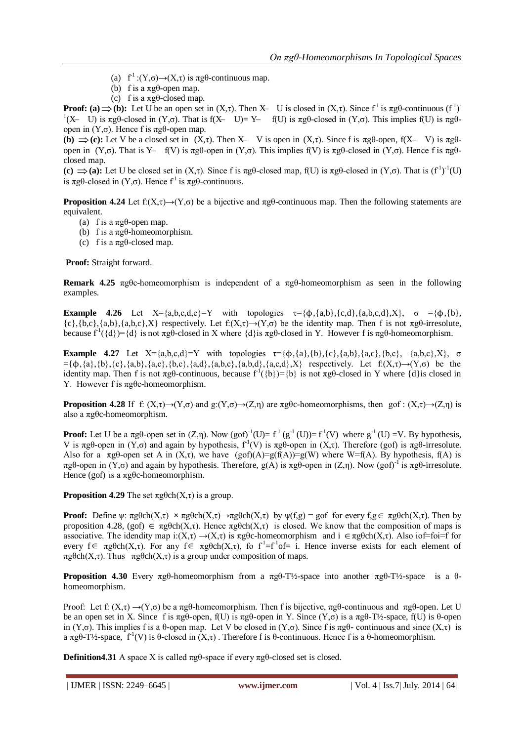- (a)  $f^1$  :(Y, $\sigma$ ) $\rightarrow$ (X, $\tau$ ) is  $\pi g\theta$ -continuous map.
- (b) f is a  $\pi \rho$ -open map.
- (c) f is a  $\pi \varrho \theta$ -closed map.

**Proof:** (a)  $\Rightarrow$  (b): Let U be an open set in  $(X,\tau)$ . Then X- U is closed in  $(X,\tau)$ . Since  $f^1$  is  $\pi g \theta$ -continuous  $(f^1)$ <sup>1</sup>(X– U) is πgθ-closed in (Y,σ). That is f(X– U)= Y– f(U) is πgθ-closed in (Y,σ). This implies f(U) is πgθopen in  $(Y, σ)$ . Hence f is  $\pi g \theta$ -open map.

**(b)**  $\Rightarrow$  **(c):** Let V be a closed set in  $(X,\tau)$ . Then X- V is open in  $(X,\tau)$ . Since f is  $\pi$ g $\theta$ -open,  $f(X - V)$  is  $\pi g \theta$ open in (Y,σ). That is Y — f(V) is πgθ-open in (Y,σ). This implies f(V) is πgθ-closed in (Y,σ). Hence f is πgθclosed map.

(c)  $\Rightarrow$  (a): Let U be closed set in (X,τ). Since f is  $\pi g\theta$ -closed map, f(U) is  $\pi g\theta$ -closed in (Y,σ). That is (f<sup>-1</sup>)<sup>-1</sup>(U) is πgθ-closed in  $(Y, \sigma)$ . Hence  $f<sup>1</sup>$  is πgθ-continuous.

**Proposition 4.24** Let  $f: (X, \tau) \rightarrow (Y, \sigma)$  be a bijective and  $\pi g \theta$ -continuous map. Then the following statements are equivalent.

- (a) f is a  $\pi$ g $\theta$ -open map.
- (b) f is a  $\pi \xi \theta$ -homeomorphism.
- (c) f is a  $\pi \text{g}\theta$ -closed map.

**Proof:** Straight forward.

**Remark 4.25** πgθc-homeomorphism is independent of a πgθ-homeomorphism as seen in the following examples.

**Example 4.26** Let  $X = \{a,b,c,d,e\} = Y$  with topologies  $\tau = \{\phi,\{a,b\},\{c,d\},\{a,b,c,d\},X\}$ ,  $\sigma = \{\phi,\{b\},\sigma\}$  ${c}, {b,c}, {a,b}, {a,b,c}, X$  respectively. Let  $f(X,\tau) \rightarrow (Y,\sigma)$  be the identity map. Then f is not  $\pi g\theta$ -irresolute, because  $f^1(\{d\}) = \{d\}$  is not  $\pi g \theta$ -closed in X where  $\{d\}$ is  $\pi g \theta$ -closed in Y. However f is  $\pi g \theta$ -homeomorphism.

**Example 4.27** Let  $X = \{a, b, c, d\} = Y$  with topologies  $\tau = \{b, \{a\}, \{b\}, \{c\}, \{a,b\}, \{a,c\}, \{b,c\}, X\}$ ,  $\sigma$  $= \{\phi, \{a\}, \{b\}, \{c\}, \{a,b\}, \{a,c\}, \{b,c\}, \{a,d\}, \{a,b,d\}, \{a,c,d\},X\}$  respectively. Let  $f:(X,\tau) \rightarrow (Y,\sigma)$  be the identity map. Then f is not  $\pi g\theta$ -continuous, because  $f^1(\{b\}) = \{b\}$  is not  $\pi g\theta$ -closed in Y where  $\{d\}$ is closed in Y. However f is πgθc-homeomorphism.

**Proposition 4.28** If f:  $(X,\tau) \to (Y,\sigma)$  and  $g:(Y,\sigma) \to (Z,\eta)$  are  $\pi g \theta c$ -homeomorphisms, then gof :  $(X,\tau) \to (Z,\eta)$  is also a  $\pi$ gθc-homeomorphism.

**Proof:** Let U be a  $\pi g\theta$ -open set in  $(Z,\eta)$ . Now  $(g\circ f)^{-1}(U)=f^{\perp}(g^{-1}(U))=f^{\perp}(V)$  where  $g^{-1}(U)=V$ . By hypothesis, V is  $\pi g \theta$ -open in  $(Y, \sigma)$  and again by hypothesis,  $f^{-1}(V)$  is  $\pi g \theta$ -open in  $(X, \tau)$ . Therefore (gof) is  $\pi g \theta$ -irresolute. Also for a  $\pi$ g $\theta$ -open set A in  $(X,\tau)$ , we have  $(g\circ f)(A)=g(f(A))=g(W)$  where W=f(A). By hypothesis, f(A) is πgθ-open in (Y,σ) and again by hypothesis. Therefore,  $g(A)$  is πgθ-open in (Z,η). Now (gof)<sup>-1</sup> is πgθ-irresolute. Hence (gof) is a  $\pi$ g $\theta$ c-homeomorphism.

**Proposition 4.29** The set  $\pi \beta$ ch(X, $\tau$ ) is a group.

**Proof:** Define  $\psi$ :  $\pi \text{g}\theta \text{ch}(X,\tau) \times \pi \text{g}\theta \text{ch}(X,\tau) \rightarrow \pi \text{g}\theta \text{ch}(X,\tau)$  by  $\psi(f,g) = g \text{of}$  for every  $f,g \in \pi \text{g}\theta \text{ch}(X,\tau)$ . Then by proposition 4.28, (gof)  $\in \pi \text{g}\theta ch(X,\tau)$ . Hence  $\pi \text{g}\theta ch(X,\tau)$  is closed. We know that the composition of maps is associative. The idendity map  $i:(X,\tau) \to (X,\tau)$  is  $\pi g \theta c$ -homeomorphism and  $i \in \pi g \theta ch(X,\tau)$ . Also iof=foi=f for every  $f \in \pi g \theta ch(X, \tau)$ . For any  $f \in \pi g \theta ch(X, \tau)$ , fo  $f' = f' \circ f = i$ . Hence inverse exists for each element of  $πgθch(X,τ)$ . Thus  $πgθch(X,τ)$  is a group under composition of maps.

**Proposition 4.30** Every πgθ-homeomorphism from a πgθ-T½-space into another πgθ-T½-space is a θhomeomorphism.

Proof: Let f: (X,τ)  $\rightarrow$ (Y,σ) be a πgθ-homeomorphism. Then f is bijective, πgθ-continuous and πgθ-open. Let U be an open set in X. Since f is πgθ-open, f(U) is πgθ-open in Y. Since (Y,σ) is a πgθ-T½-space, f(U) is θ-open in (Y,σ). This implies f is a θ-open map. Let V be closed in (Y,σ). Since f is  $\pi$ gθ- continuous and since (X,τ) is a πgθ-T½-space,  $f^1(V)$  is θ-closed in  $(X, \tau)$ . Therefore f is θ-continuous. Hence f is a θ-homeomorphism.

**Definition4.31** A space X is called  $\pi$ gθ-space if every  $\pi$ gθ-closed set is closed.